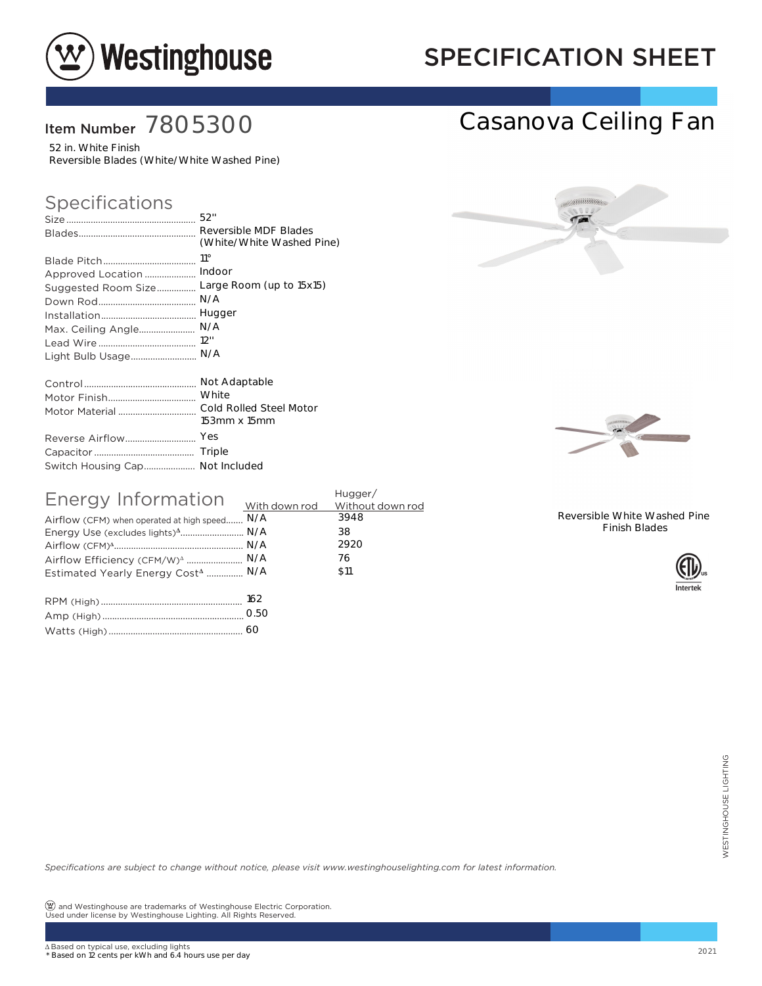

## SPECIFICATION SHEET

### Item Number 7805300

52 in. White Finish Reversible Blades (White/White Washed Pine)

### Specifications

|                                 | Reversible MDF Blades     |
|---------------------------------|---------------------------|
|                                 | (White/White Washed Pine) |
|                                 | $11^{\circ}$              |
| Approved Location               | Indoor                    |
| Suggested Room Size             | Large Room (up to 15x15)  |
|                                 | N/A                       |
|                                 | Hugger                    |
| Max. Ceiling Angle              | N/A                       |
|                                 | 12"                       |
| Light Bulb Usage                | N/A                       |
|                                 | Not Adaptable             |
|                                 | White                     |
| Motor Material                  | Cold Rolled Steel Motor   |
|                                 | 153mm x 15mm              |
| Reverse Airflow                 | Yes                       |
|                                 |                           |
| Switch Housing Cap Not Included |                           |

| Energy Information                            | Hugger/         |      |  |
|-----------------------------------------------|-----------------|------|--|
|                                               |                 |      |  |
| Airflow (CFM) when operated at high speed N/A |                 | 3948 |  |
| Energy Use (excludes lights) <sup>4</sup> N/A |                 | 38   |  |
|                                               |                 | 2920 |  |
| Airflow Efficiency (CFM/W) <sup>4</sup> N/A   |                 | 76   |  |
| Estimated Yearly Energy Cost <sup>4</sup> N/A |                 | \$11 |  |
|                                               |                 |      |  |
|                                               | $\cap$ E $\cap$ |      |  |

| 0.50 |
|------|
| 60   |



Casanova Ceiling Fan



Reversible White Washed Pine Finish Blades



*Specifications are subject to change without notice, please visit www.westinghouselighting.com for latest information.* 60<br>
otice, please visit www.westinghouselighting.com for latest information.<br>
are Electric Corporation.<br>
12021<br>
2021

 $\circledR$  and Westinghouse are trademarks of Westinghouse Electric Corporation. Used under license by Westinghouse Lighting. All Rights Reserved.